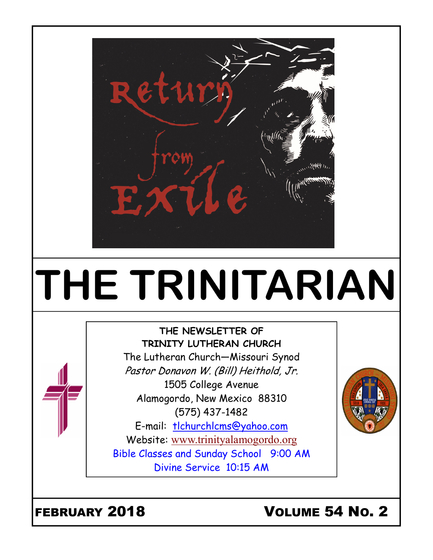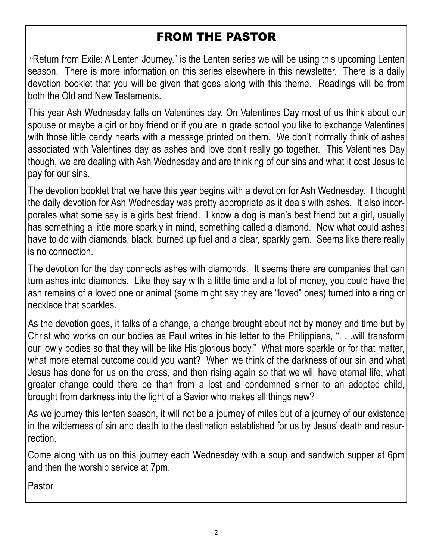# FROM THE PASTOR

Return from Exile: A Lenten Journey." is the Lenten series we will be using this upcoming Lenten season. There is more information on this series elsewhere in this newsletter. There is a daily devotion booklet that you will be given that goes along with this theme. Readings will be from both the Old and New Testaments.

This year Ash Wednesday falls on Valentines day. On Valentines Day most of us think about our spouse or maybe a girl or boy friend or if you are in grade school you like to exchange Valentines with those little candy hearts with a message printed on them. We don't normally think of ashes associated with Valentines day as ashes and love don't really go together. This Valentines Day though, we are dealing with Ash Wednesday and are thinking of our sins and what it cost Jesus to pay for our sins.

The devotion booklet that we have this year begins with a devotion for Ash Wednesday. I thought the daily devotion for Ash Wednesday was pretty appropriate as it deals with ashes. It also incorporates what some say is a girls best friend. I know a dog is man's best friend but a girl, usually has something a little more sparkly in mind, something called a diamond. Now what could ashes have to do with diamonds, black, burned up fuel and a clear, sparkly gem. Seems like there really is no connection.

The devotion for the day connects ashes with diamonds. It seems there are companies that can turn ashes into diamonds. Like they say with a little time and a lot of money, you could have the ash remains of a loved one or animal (some might say they are "loved" ones) turned into a ring or necklace that sparkles.

As the devotion goes, it talks of a change, a change brought about not by money and time but by Christ who works on our bodies as Paul writes in his letter to the Philippians, ". . .will transform our lowly bodies so that they will be like His glorious body." What more sparkle or for that matter, what more eternal outcome could you want? When we think of the darkness of our sin and what Jesus has done for us on the cross, and then rising again so that we will have eternal life, what greater change could there be than from a lost and condemned sinner to an adopted child, brought from darkness into the light of a Savior who makes all things new?

As we journey this lenten season, it will not be a journey of miles but of a journey of our existence in the wilderness of sin and death to the destination established for us by Jesus' death and resurrection.

Come along with us on this journey each Wednesday with a soup and sandwich supper at 6pm and then the worship service at 7pm.

Pastor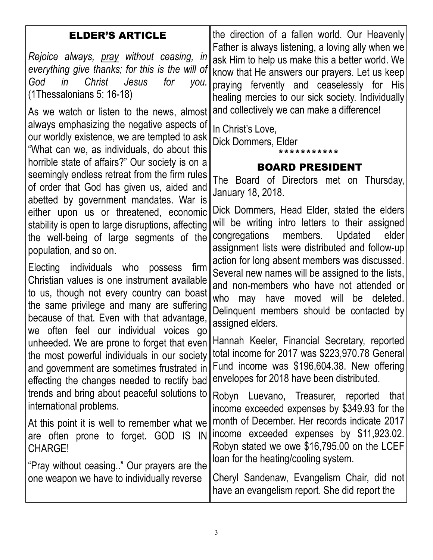| <b>ELDER'S ARTICLE</b>                                                                                                                                                                                                                                                                                                                                                                                                                         | the direction of a fallen world. Our Heavenly<br>Father is always listening, a loving ally when we                                                                                                                                                                                                                                                                                                                                                       |
|------------------------------------------------------------------------------------------------------------------------------------------------------------------------------------------------------------------------------------------------------------------------------------------------------------------------------------------------------------------------------------------------------------------------------------------------|----------------------------------------------------------------------------------------------------------------------------------------------------------------------------------------------------------------------------------------------------------------------------------------------------------------------------------------------------------------------------------------------------------------------------------------------------------|
| Rejoice always, <u>pray</u> without ceasing, in<br>everything give thanks; for this is the will of<br>in<br>Christ<br>Jesus<br>God<br>for<br>$\gamma$ ou.<br>$(1)$ Thessalonians 5: 16-18)                                                                                                                                                                                                                                                     | ask Him to help us make this a better world. We<br>know that He answers our prayers. Let us keep<br>praying fervently and ceaselessly for His<br>healing mercies to our sick society. Individually                                                                                                                                                                                                                                                       |
| As we watch or listen to the news, almost<br>always emphasizing the negative aspects of<br>our worldly existence, we are tempted to ask<br>"What can we, as individuals, do about this<br>horrible state of affairs?" Our society is on a<br>seemingly endless retreat from the firm rules                                                                                                                                                     | and collectively we can make a difference!<br>In Christ's Love,<br>Dick Dommers, Elder<br>* * * * * * * * * *<br><b>BOARD PRESIDENT</b>                                                                                                                                                                                                                                                                                                                  |
| of order that God has given us, aided and                                                                                                                                                                                                                                                                                                                                                                                                      | The Board of Directors met on Thursday,<br>January 18, 2018.                                                                                                                                                                                                                                                                                                                                                                                             |
| abetted by government mandates. War is<br>either upon us or threatened, economic<br>stability is open to large disruptions, affecting<br>the well-being of large segments of the<br>population, and so on.<br>Electing individuals who possess<br>firm<br>Christian values is one instrument available<br>to us, though not every country can boast<br>the same privilege and many are suffering<br>because of that. Even with that advantage, | Dick Dommers, Head Elder, stated the elders<br>will be writing intro letters to their assigned<br>congregations members. Updated<br>elder<br>assignment lists were distributed and follow-up<br>action for long absent members was discussed.<br>Several new names will be assigned to the lists,<br>and non-members who have not attended or<br>who may have moved will<br>be deleted.<br>Delinquent members should be contacted by<br>assigned elders. |
| we often feel our individual voices go<br>unheeded. We are prone to forget that even<br>the most powerful individuals in our society<br>and government are sometimes frustrated in<br>effecting the changes needed to rectify bad<br>trends and bring about peaceful solutions to                                                                                                                                                              | Hannah Keeler, Financial Secretary, reported<br>total income for 2017 was \$223,970.78 General<br>Fund income was \$196,604.38. New offering<br>envelopes for 2018 have been distributed.                                                                                                                                                                                                                                                                |
| international problems.                                                                                                                                                                                                                                                                                                                                                                                                                        | Robyn Luevano, Treasurer, reported<br>that<br>income exceeded expenses by \$349.93 for the                                                                                                                                                                                                                                                                                                                                                               |
| At this point it is well to remember what we<br>are often prone to forget. GOD IS IN<br>CHARGE!                                                                                                                                                                                                                                                                                                                                                | month of December. Her records indicate 2017<br>income exceeded expenses by \$11,923.02.<br>Robyn stated we owe \$16,795.00 on the LCEF<br>loan for the heating/cooling system.                                                                                                                                                                                                                                                                          |
| "Pray without ceasing" Our prayers are the<br>one weapon we have to individually reverse                                                                                                                                                                                                                                                                                                                                                       | Cheryl Sandenaw, Evangelism Chair, did not<br>have an evangelism report. She did report the                                                                                                                                                                                                                                                                                                                                                              |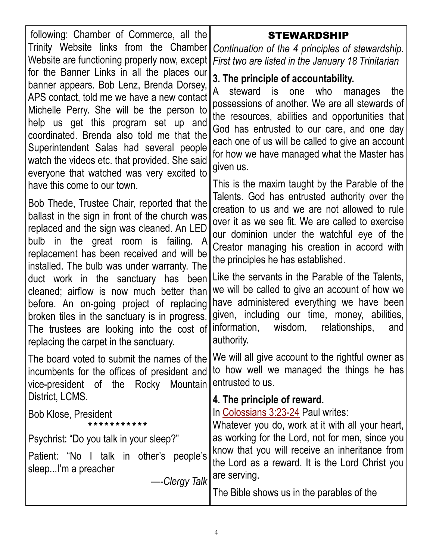| following: Chamber of Commerce, all the                                                                                                                                                                                                                                                                                                                                                                                                                                                                                                                                              | <b>STEWARDSHIP</b>                                                                                                                                                                                                                                                                                                                                                                                                                                                                                                                                                                                         |
|--------------------------------------------------------------------------------------------------------------------------------------------------------------------------------------------------------------------------------------------------------------------------------------------------------------------------------------------------------------------------------------------------------------------------------------------------------------------------------------------------------------------------------------------------------------------------------------|------------------------------------------------------------------------------------------------------------------------------------------------------------------------------------------------------------------------------------------------------------------------------------------------------------------------------------------------------------------------------------------------------------------------------------------------------------------------------------------------------------------------------------------------------------------------------------------------------------|
| Trinity Website links from the Chamber<br>Website are functioning properly now, except                                                                                                                                                                                                                                                                                                                                                                                                                                                                                               | Continuation of the 4 principles of stewardship.<br>First two are listed in the January 18 Trinitarian                                                                                                                                                                                                                                                                                                                                                                                                                                                                                                     |
| for the Banner Links in all the places our<br>banner appears. Bob Lenz, Brenda Dorsey,<br>APS contact, told me we have a new contact<br>Michelle Perry. She will be the person to<br>help us get this program set up and<br>coordinated. Brenda also told me that the<br>Superintendent Salas had several people<br>watch the videos etc. that provided. She said<br>everyone that watched was very excited to                                                                                                                                                                       | 3. The principle of accountability.<br>A<br>steward is one who manages<br>the<br>possessions of another. We are all stewards of<br>the resources, abilities and opportunities that<br>God has entrusted to our care, and one day<br>each one of us will be called to give an account<br>for how we have managed what the Master has<br>given us.                                                                                                                                                                                                                                                           |
| have this come to our town.<br>Bob Thede, Trustee Chair, reported that the<br>ballast in the sign in front of the church was<br>replaced and the sign was cleaned. An LED<br>bulb in the great room is failing. A<br>replacement has been received and will be<br>installed. The bulb was under warranty. The<br>duct work in the sanctuary has been<br>cleaned; airflow is now much better than<br>before. An on-going project of replacing<br>broken tiles in the sanctuary is in progress.<br>The trustees are looking into the cost of<br>replacing the carpet in the sanctuary. | This is the maxim taught by the Parable of the<br>Talents. God has entrusted authority over the<br>creation to us and we are not allowed to rule<br>over it as we see fit. We are called to exercise<br>our dominion under the watchful eye of the<br>Creator managing his creation in accord with<br>the principles he has established.<br>Like the servants in the Parable of the Talents,<br>we will be called to give an account of how we<br>have administered everything we have been<br>given, including our time, money, abilities,<br>information, wisdom,<br>relationships,<br>and<br>authority. |
| The board voted to submit the names of the<br>incumbents for the offices of president and<br>vice-president of the Rocky<br>Mountain                                                                                                                                                                                                                                                                                                                                                                                                                                                 | We will all give account to the rightful owner as<br>to how well we managed the things he has<br>entrusted to us.                                                                                                                                                                                                                                                                                                                                                                                                                                                                                          |
| District, LCMS.<br><b>Bob Klose, President</b><br>* * * * * * * * * * *<br>Psychrist: "Do you talk in your sleep?"<br>Patient: "No I talk in other's people's<br>sleepI'm a preacher<br>-Clergy Talk                                                                                                                                                                                                                                                                                                                                                                                 | 4. The principle of reward.<br>In Colossians 3:23-24 Paul writes:<br>Whatever you do, work at it with all your heart,<br>as working for the Lord, not for men, since you<br>know that you will receive an inheritance from<br>the Lord as a reward. It is the Lord Christ you<br>are serving.<br>The Bible shows us in the parables of the                                                                                                                                                                                                                                                                 |
|                                                                                                                                                                                                                                                                                                                                                                                                                                                                                                                                                                                      |                                                                                                                                                                                                                                                                                                                                                                                                                                                                                                                                                                                                            |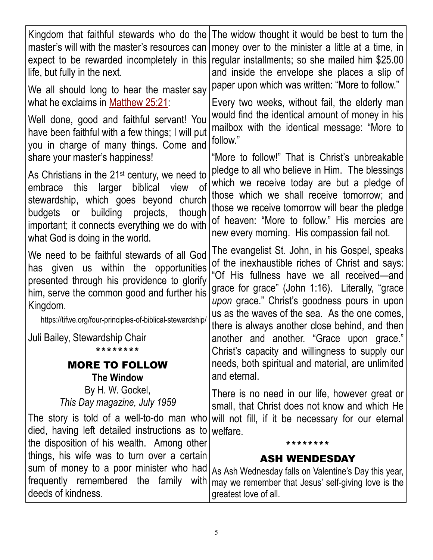| Kingdom that faithful stewards who do the                                                                                                                                                                                                                                                                                                                                                                                                                                                                                                          | The widow thought it would be best to turn the                                                                                                                                                                                                                                                                                                                                                                                                                                                                                                                     |
|----------------------------------------------------------------------------------------------------------------------------------------------------------------------------------------------------------------------------------------------------------------------------------------------------------------------------------------------------------------------------------------------------------------------------------------------------------------------------------------------------------------------------------------------------|--------------------------------------------------------------------------------------------------------------------------------------------------------------------------------------------------------------------------------------------------------------------------------------------------------------------------------------------------------------------------------------------------------------------------------------------------------------------------------------------------------------------------------------------------------------------|
| master's will with the master's resources can                                                                                                                                                                                                                                                                                                                                                                                                                                                                                                      | money over to the minister a little at a time, in                                                                                                                                                                                                                                                                                                                                                                                                                                                                                                                  |
| expect to be rewarded incompletely in this                                                                                                                                                                                                                                                                                                                                                                                                                                                                                                         | regular installments; so she mailed him \$25.00                                                                                                                                                                                                                                                                                                                                                                                                                                                                                                                    |
| life, but fully in the next.                                                                                                                                                                                                                                                                                                                                                                                                                                                                                                                       | and inside the envelope she places a slip of                                                                                                                                                                                                                                                                                                                                                                                                                                                                                                                       |
| We all should long to hear the master say<br>what he exclaims in Matthew 25:21:<br>Well done, good and faithful servant! You<br>have been faithful with a few things; I will put<br>you in charge of many things. Come and<br>share your master's happiness!<br>As Christians in the $21st$ century, we need to<br><sub>of</sub><br>embrace this larger<br>biblical view<br>stewardship, which goes beyond church<br>building projects,<br>though<br>budgets or<br>important; it connects everything we do with<br>what God is doing in the world. | paper upon which was written: "More to follow."<br>Every two weeks, without fail, the elderly man<br>would find the identical amount of money in his<br>mailbox with the identical message: "More to<br>follow."<br>"More to follow!" That is Christ's unbreakable<br>pledge to all who believe in Him. The blessings<br>which we receive today are but a pledge of<br>those which we shall receive tomorrow; and<br>those we receive tomorrow will bear the pledge<br>of heaven: "More to follow." His mercies are<br>new every morning. His compassion fail not. |
| We need to be faithful stewards of all God<br>has given us within the opportunities<br>presented through his providence to glorify<br>him, serve the common good and further his<br>Kingdom.<br>https://tifwe.org/four-principles-of-biblical-stewardship/<br>Juli Bailey, Stewardship Chair<br>********<br><b>MORE TO FOLLOW</b><br><b>The Window</b>                                                                                                                                                                                             | The evangelist St. John, in his Gospel, speaks<br>of the inexhaustible riches of Christ and says:<br>"Of His fullness have we all received—and<br>grace for grace" (John 1:16). Literally, "grace<br>upon grace." Christ's goodness pours in upon<br>us as the waves of the sea. As the one comes,<br>there is always another close behind, and then<br>another and another. "Grace upon grace."<br>Christ's capacity and willingness to supply our<br>needs, both spiritual and material, are unlimited<br>and eternal.                                           |
| By H. W. Gockel,                                                                                                                                                                                                                                                                                                                                                                                                                                                                                                                                   | There is no need in our life, however great or                                                                                                                                                                                                                                                                                                                                                                                                                                                                                                                     |
| This Day magazine, July 1959                                                                                                                                                                                                                                                                                                                                                                                                                                                                                                                       | small, that Christ does not know and which He                                                                                                                                                                                                                                                                                                                                                                                                                                                                                                                      |
| The story is told of a well-to-do man who                                                                                                                                                                                                                                                                                                                                                                                                                                                                                                          | will not fill, if it be necessary for our eternal                                                                                                                                                                                                                                                                                                                                                                                                                                                                                                                  |
| died, having left detailed instructions as to                                                                                                                                                                                                                                                                                                                                                                                                                                                                                                      | welfare.                                                                                                                                                                                                                                                                                                                                                                                                                                                                                                                                                           |
| the disposition of his wealth. Among other                                                                                                                                                                                                                                                                                                                                                                                                                                                                                                         | * * * * * * * *                                                                                                                                                                                                                                                                                                                                                                                                                                                                                                                                                    |
| things, his wife was to turn over a certain                                                                                                                                                                                                                                                                                                                                                                                                                                                                                                        | <b>ASH WENDESDAY</b>                                                                                                                                                                                                                                                                                                                                                                                                                                                                                                                                               |
| sum of money to a poor minister who had                                                                                                                                                                                                                                                                                                                                                                                                                                                                                                            | As Ash Wednesday falls on Valentine's Day this year,                                                                                                                                                                                                                                                                                                                                                                                                                                                                                                               |
| frequently remembered the family with                                                                                                                                                                                                                                                                                                                                                                                                                                                                                                              | may we remember that Jesus' self-giving love is the                                                                                                                                                                                                                                                                                                                                                                                                                                                                                                                |
| deeds of kindness.                                                                                                                                                                                                                                                                                                                                                                                                                                                                                                                                 | greatest love of all.                                                                                                                                                                                                                                                                                                                                                                                                                                                                                                                                              |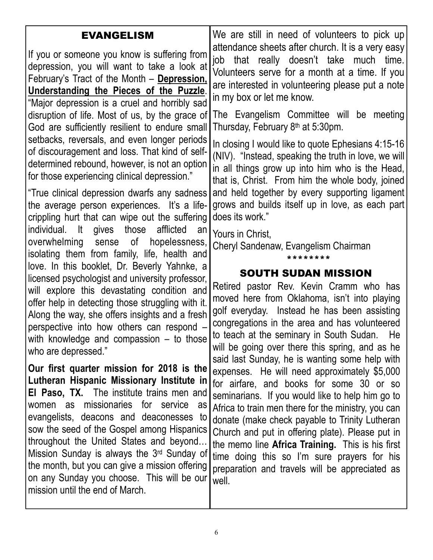| <b>EVANGELISM</b><br>If you or someone you know is suffering from<br>depression, you will want to take a look at<br>February's Tract of the Month – Depression,<br><u>Understanding the Pieces of the Puzzle.</u><br>"Major depression is a cruel and horribly sad<br>disruption of life. Most of us, by the grace of<br>God are sufficiently resilient to endure small<br>setbacks, reversals, and even longer periods<br>of discouragement and loss. That kind of self-<br>determined rebound, however, is not an option<br>for those experiencing clinical depression."<br>"True clinical depression dwarfs any sadness<br>the average person experiences. It's a life-<br>crippling hurt that can wipe out the suffering<br>individual. It gives those<br>afflicted<br>an<br>hopelessness,<br>overwhelming sense of<br>isolating them from family, life, health and<br>love. In this booklet, Dr. Beverly Yahnke, a | We are still in need of volunteers to pick up<br>attendance sheets after church. It is a very easy<br>job that really doesn't take much time.<br>Volunteers serve for a month at a time. If you<br>are interested in volunteering please put a note<br>in my box or let me know.<br>The Evangelism Committee will be meeting<br>Thursday, February 8 <sup>th</sup> at 5:30pm.<br>In closing I would like to quote Ephesians 4:15-16<br>(NIV). "Instead, speaking the truth in love, we will<br>in all things grow up into him who is the Head,<br>that is, Christ. From him the whole body, joined<br>and held together by every supporting ligament<br>grows and builds itself up in love, as each part<br>does its work."<br>Yours in Christ,<br>Cheryl Sandenaw, Evangelism Chairman<br>********<br><b>SOUTH SUDAN MISSION</b> |
|-------------------------------------------------------------------------------------------------------------------------------------------------------------------------------------------------------------------------------------------------------------------------------------------------------------------------------------------------------------------------------------------------------------------------------------------------------------------------------------------------------------------------------------------------------------------------------------------------------------------------------------------------------------------------------------------------------------------------------------------------------------------------------------------------------------------------------------------------------------------------------------------------------------------------|-----------------------------------------------------------------------------------------------------------------------------------------------------------------------------------------------------------------------------------------------------------------------------------------------------------------------------------------------------------------------------------------------------------------------------------------------------------------------------------------------------------------------------------------------------------------------------------------------------------------------------------------------------------------------------------------------------------------------------------------------------------------------------------------------------------------------------------|
| licensed psychologist and university professor,<br>will explore this devastating condition and<br>offer help in detecting those struggling with it.<br>Along the way, she offers insights and a fresh<br>perspective into how others can respond -<br>with knowledge and compassion $-$ to those                                                                                                                                                                                                                                                                                                                                                                                                                                                                                                                                                                                                                        | Retired pastor Rev. Kevin Cramm who has<br>moved here from Oklahoma, isn't into playing<br>golf everyday. Instead he has been assisting<br>congregations in the area and has volunteered<br>to teach at the seminary in South Sudan.<br>He<br>will be going over there this spring, and as he                                                                                                                                                                                                                                                                                                                                                                                                                                                                                                                                     |
| who are depressed."<br>Our first quarter mission for 2018 is the<br>Lutheran Hispanic Missionary Institute in<br><b>El Paso, TX.</b> The institute trains men and<br>women as missionaries for service as<br>evangelists, deacons and deaconesses to<br>sow the seed of the Gospel among Hispanics<br>throughout the United States and beyond<br>Mission Sunday is always the $3rd$ Sunday of<br>the month, but you can give a mission offering<br>on any Sunday you choose. This will be our<br>mission until the end of March.                                                                                                                                                                                                                                                                                                                                                                                        | said last Sunday, he is wanting some help with<br>expenses. He will need approximately \$5,000<br>for airfare, and books for some 30 or so<br>seminarians. If you would like to help him go to<br>Africa to train men there for the ministry, you can<br>donate (make check payable to Trinity Lutheran<br>Church and put in offering plate). Please put in<br>the memo line <b>Africa Training.</b> This is his first<br>time doing this so I'm sure prayers for his<br>preparation and travels will be appreciated as<br>well.                                                                                                                                                                                                                                                                                                  |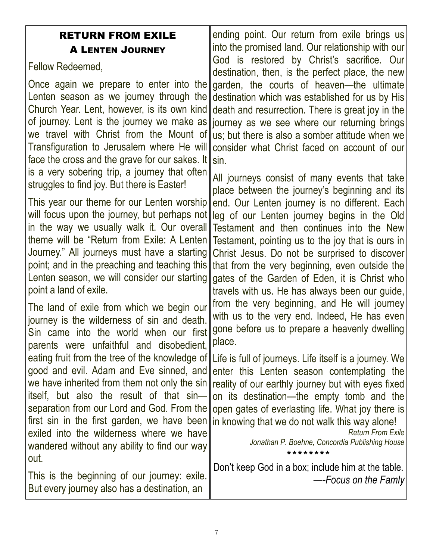### RETURN FROM EXILE A LENTEN JOURNEY

Fellow Redeemed,

Once again we prepare to enter into the Lenten season as we journey through the Church Year. Lent, however, is its own kind of journey. Lent is the journey we make as we travel with Christ from the Mount of Transfiguration to Jerusalem where He will face the cross and the grave for our sakes. It is a very sobering trip, a journey that often struggles to find joy. But there is Easter!

This year our theme for our Lenten worship will focus upon the journey, but perhaps not in the way we usually walk it. Our overall theme will be "Return from Exile: A Lenten Journey." All journeys must have a starting point; and in the preaching and teaching this Lenten season, we will consider our starting point a land of exile.

The land of exile from which we begin our journey is the wilderness of sin and death. Sin came into the world when our first parents were unfaithful and disobedient, eating fruit from the tree of the knowledge of good and evil. Adam and Eve sinned, and we have inherited from them not only the sin itself, but also the result of that sin separation from our Lord and God. From the first sin in the first garden, we have been exiled into the wilderness where we have wandered without any ability to find our way out.

This is the beginning of our journey: exile. But every journey also has a destination, an

ending point. Our return from exile brings us into the promised land. Our relationship with our God is restored by Christ's sacrifice. Our destination, then, is the perfect place, the new garden, the courts of heaven—the ultimate destination which was established for us by His death and resurrection. There is great joy in the journey as we see where our returning brings us; but there is also a somber attitude when we consider what Christ faced on account of our sin.

All journeys consist of many events that take place between the journey's beginning and its end. Our Lenten journey is no different. Each leg of our Lenten journey begins in the Old Testament and then continues into the New Testament, pointing us to the joy that is ours in Christ Jesus. Do not be surprised to discover that from the very beginning, even outside the gates of the Garden of Eden, it is Christ who travels with us. He has always been our guide, from the very beginning, and He will journey with us to the very end. Indeed, He has even gone before us to prepare a heavenly dwelling place.

Life is full of journeys. Life itself is a journey. We enter this Lenten season contemplating the reality of our earthly journey but with eyes fixed on its destination—the empty tomb and the open gates of everlasting life. What joy there is in knowing that we do not walk this way alone!

Return From Exile Jonathan P. Boehne, Concordia Publishing House \*\*\*\*\*\*\*\*

Don't keep God in a box; include him at the table. —-Focus on the Famly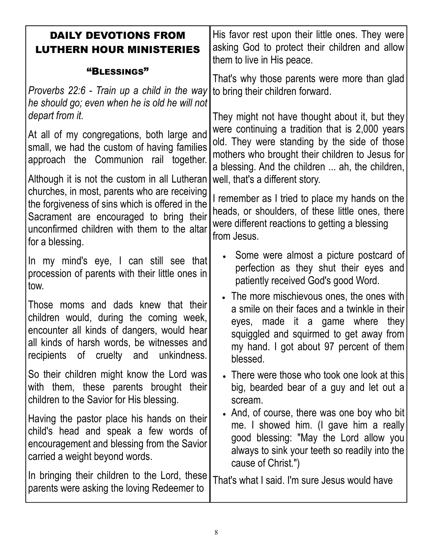| <b>DAILY DEVOTIONS FROM</b><br><b>LUTHERN HOUR MINISTERIES</b>                                                                                                                                                         | His favor rest upon their little ones. They were<br>asking God to protect their children and allow<br>them to live in His peace.                                                                                                    |
|------------------------------------------------------------------------------------------------------------------------------------------------------------------------------------------------------------------------|-------------------------------------------------------------------------------------------------------------------------------------------------------------------------------------------------------------------------------------|
| "BLESSINGS"                                                                                                                                                                                                            | That's why those parents were more than glad                                                                                                                                                                                        |
| Proverbs 22:6 - Train up a child in the way<br>he should go; even when he is old he will not                                                                                                                           | to bring their children forward.                                                                                                                                                                                                    |
| depart from it.                                                                                                                                                                                                        | They might not have thought about it, but they<br>were continuing a tradition that is 2,000 years                                                                                                                                   |
| At all of my congregations, both large and<br>small, we had the custom of having families<br>approach the Communion rail together.                                                                                     | old. They were standing by the side of those<br>mothers who brought their children to Jesus for<br>a blessing. And the children  ah, the children,                                                                                  |
| Although it is not the custom in all Lutheran<br>churches, in most, parents who are receiving                                                                                                                          | well, that's a different story.                                                                                                                                                                                                     |
| the forgiveness of sins which is offered in the<br>Sacrament are encouraged to bring their<br>unconfirmed children with them to the altar<br>for a blessing.                                                           | I remember as I tried to place my hands on the<br>heads, or shoulders, of these little ones, there<br>were different reactions to getting a blessing<br>from Jesus.                                                                 |
| In my mind's eye, I can still see that<br>procession of parents with their little ones in<br>tow.                                                                                                                      | • Some were almost a picture postcard of<br>perfection as they shut their eyes and<br>patiently received God's good Word.                                                                                                           |
| Those moms and dads knew that their<br>children would, during the coming week,<br>encounter all kinds of dangers, would hear<br>all kinds of harsh words, be witnesses and<br>unkindness.<br>recipients of cruelty and | • The more mischievous ones, the ones with<br>a smile on their faces and a twinkle in their<br>eyes, made it a game where<br>they<br>squiggled and squirmed to get away from<br>my hand. I got about 97 percent of them<br>blessed. |
| So their children might know the Lord was<br>with them, these parents brought their<br>children to the Savior for His blessing.                                                                                        | • There were those who took one look at this<br>big, bearded bear of a guy and let out a<br>scream.                                                                                                                                 |
| Having the pastor place his hands on their<br>child's head and speak a few words of<br>encouragement and blessing from the Savior<br>carried a weight beyond words.                                                    | • And, of course, there was one boy who bit<br>me. I showed him. (I gave him a really<br>good blessing: "May the Lord allow you<br>always to sink your teeth so readily into the<br>cause of Christ.")                              |
| In bringing their children to the Lord, these<br>parents were asking the loving Redeemer to                                                                                                                            | That's what I said. I'm sure Jesus would have                                                                                                                                                                                       |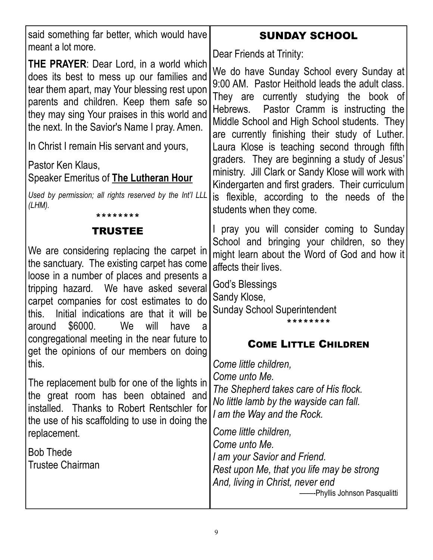| said something far better, which would have<br>meant a lot more.                                                                                                                                                                                                                                                                   | <b>SUNDAY SCHOOL</b>                                                                                                                                                                                                                                                                                                                                |
|------------------------------------------------------------------------------------------------------------------------------------------------------------------------------------------------------------------------------------------------------------------------------------------------------------------------------------|-----------------------------------------------------------------------------------------------------------------------------------------------------------------------------------------------------------------------------------------------------------------------------------------------------------------------------------------------------|
| <b>THE PRAYER:</b> Dear Lord, in a world which                                                                                                                                                                                                                                                                                     | Dear Friends at Trinity:                                                                                                                                                                                                                                                                                                                            |
| does its best to mess up our families and<br>tear them apart, may Your blessing rest upon<br>parents and children. Keep them safe so<br>they may sing Your praises in this world and<br>the next. In the Savior's Name I pray. Amen.                                                                                               | We do have Sunday School every Sunday at<br>9:00 AM. Pastor Heithold leads the adult class.<br>They are currently studying the book of<br>Hebrews. Pastor Cramm is instructing the<br>Middle School and High School students. They<br>are currently finishing their study of Luther.                                                                |
| In Christ I remain His servant and yours,                                                                                                                                                                                                                                                                                          | Laura Klose is teaching second through fifth                                                                                                                                                                                                                                                                                                        |
| Pastor Ken Klaus,<br>Speaker Emeritus of <b>The Lutheran Hour</b>                                                                                                                                                                                                                                                                  | graders. They are beginning a study of Jesus'<br>ministry. Jill Clark or Sandy Klose will work with<br>Kindergarten and first graders. Their curriculum                                                                                                                                                                                             |
| Used by permission; all rights reserved by the Int'l LLL<br>(LHM).<br>* * * * * * * *                                                                                                                                                                                                                                              | is flexible, according to the needs of the<br>students when they come.                                                                                                                                                                                                                                                                              |
| <b>TRUSTEE</b>                                                                                                                                                                                                                                                                                                                     | I pray you will consider coming to Sunday                                                                                                                                                                                                                                                                                                           |
| We are considering replacing the carpet in<br>the sanctuary. The existing carpet has come<br>loose in a number of places and presents a<br>tripping hazard. We have asked several<br>carpet companies for cost estimates to do<br>Initial indications are that it will be<br>this.<br>\$6000.<br>We<br>will<br>around<br>have<br>a | School and bringing your children, so they<br>might learn about the Word of God and how it<br>affects their lives.                                                                                                                                                                                                                                  |
|                                                                                                                                                                                                                                                                                                                                    | God's Blessings<br>Sandy Klose,<br><b>Sunday School Superintendent</b><br>* * * * * * * *                                                                                                                                                                                                                                                           |
| congregational meeting in the near future to<br>get the opinions of our members on doing                                                                                                                                                                                                                                           | <b>COME LITTLE CHILDREN</b>                                                                                                                                                                                                                                                                                                                         |
| this.<br>The replacement bulb for one of the lights in<br>the great room has been obtained and<br>installed. Thanks to Robert Rentschler for<br>the use of his scaffolding to use in doing the<br>replacement.<br><b>Bob Thede</b><br><b>Trustee Chairman</b>                                                                      | Come little children,<br>Come unto Me.<br>The Shepherd takes care of His flock.<br>No little lamb by the wayside can fall.<br>I am the Way and the Rock.<br>Come little children,<br>Come unto Me.<br>I am your Savior and Friend.<br>Rest upon Me, that you life may be strong<br>And, living in Christ, never end<br>-Phyllis Johnson Pasqualitti |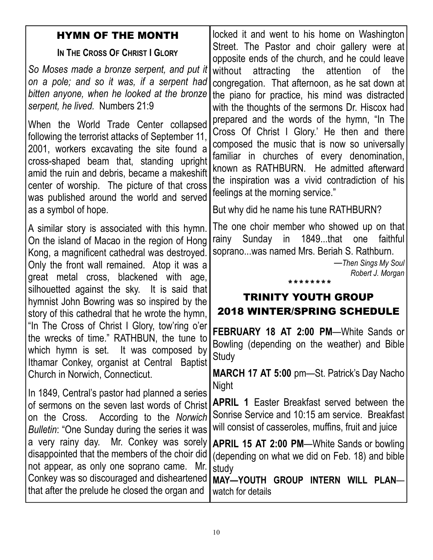### HYMN OF THE MONTH

### IN THE CROSS OF CHRIST I GLORY

So Moses made a bronze serpent, and put it on a pole; and so it was, if a serpent had bitten anyone, when he looked at the bronze serpent, he lived. Numbers 21:9

When the World Trade Center collapsed following the terrorist attacks of September 11, 2001, workers excavating the site found a cross-shaped beam that, standing upright amid the ruin and debris, became a makeshift center of worship. The picture of that cross was published around the world and served as a symbol of hope.

A similar story is associated with this hymn. On the island of Macao in the region of Hong Kong, a magnificent cathedral was destroyed. Only the front wall remained. Atop it was a great metal cross, blackened with age, silhouetted against the sky. It is said that hymnist John Bowring was so inspired by the story of this cathedral that he wrote the hymn, "In The Cross of Christ I Glory, tow'ring o'er the wrecks of time." RATHBUN, the tune to which hymn is set. It was composed by Ithamar Conkey, organist at Central Baptist Church in Norwich, Connecticut.

In 1849, Central's pastor had planned a series of sermons on the seven last words of Christ on the Cross. According to the Norwich Bulletin: "One Sunday during the series it was a very rainy day. Mr. Conkey was sorely disappointed that the members of the choir did not appear, as only one soprano came. Mr. Conkey was so discouraged and disheartened that after the prelude he closed the organ and

locked it and went to his home on Washington Street. The Pastor and choir gallery were at opposite ends of the church, and he could leave without attracting the attention of the congregation. That afternoon, as he sat down at the piano for practice, his mind was distracted with the thoughts of the sermons Dr. Hiscox had prepared and the words of the hymn, "In The Cross Of Christ I Glory.' He then and there composed the music that is now so universally familiar in churches of every denomination, known as RATHBURN. He admitted afterward the inspiration was a vivid contradiction of his feelings at the morning service."

But why did he name his tune RATHBURN?

The one choir member who showed up on that rainy Sunday in 1849...that one faithful soprano...was named Mrs. Beriah S. Rathburn.

> —Then Sings My Soul Robert J. Morgan

### \*\*\*\*\*\*\*\*

## TRINITY YOUTH GROUP 2018 WINTER/SPRING SCHEDULE

FEBRUARY 18 AT 2:00 PM—White Sands or Bowling (depending on the weather) and Bible **Study** 

MARCH 17 AT 5:00 pm—St. Patrick's Day Nacho **Night** 

APRIL 1 Easter Breakfast served between the Sonrise Service and 10:15 am service. Breakfast will consist of casseroles, muffins, fruit and juice

APRIL 15 AT 2:00 PM—White Sands or bowling (depending on what we did on Feb. 18) and bible study

MAY—YOUTH GROUP INTERN WILL PLAN watch for details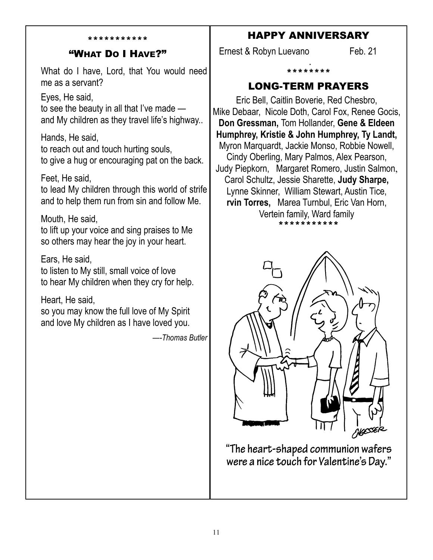### \*\*\*\*\*\*\*\*\*\*\*

### "WHAT DO I HAVE?"

What do I have, Lord, that You would need me as a servant?

Eyes, He said,

to see the beauty in all that I've made and My children as they travel life's highway..

Hands, He said, to reach out and touch hurting souls, to give a hug or encouraging pat on the back.

Feet, He said,

to lead My children through this world of strife and to help them run from sin and follow Me.

Mouth, He said,

to lift up your voice and sing praises to Me so others may hear the joy in your heart.

Ears, He said, to listen to My still, small voice of love to hear My children when they cry for help.

Heart, He said,

so you may know the full love of My Spirit and love My children as I have loved you.

—-Thomas Butler

### HAPPY ANNIVERSARY

Ernest & Robyn Luevano Feb. 21 .

\*\*\*\*\*\*\*\*

### LONG-TERM PRAYERS

Eric Bell, Caitlin Boverie, Red Chesbro, Mike Debaar, Nicole Doth, Carol Fox, Renee Gocis, Don Gressman, Tom Hollander, Gene & Eldeen Humphrey, Kristie & John Humphrey, Ty Landt, Myron Marquardt, Jackie Monso, Robbie Nowell, Cindy Oberling, Mary Palmos, Alex Pearson, Judy Piepkorn, Margaret Romero, Justin Salmon, Carol Schultz, Jessie Sharette, Judy Sharpe, Lynne Skinner, William Stewart, Austin Tice, rvin Torres, Marea Turnbul, Eric Van Horn, Vertein family, Ward family \*\*\*\*\*\*\*\*\*\*\*



"The heart-shaped communion wafers were a nice touch for Valentine's Day."